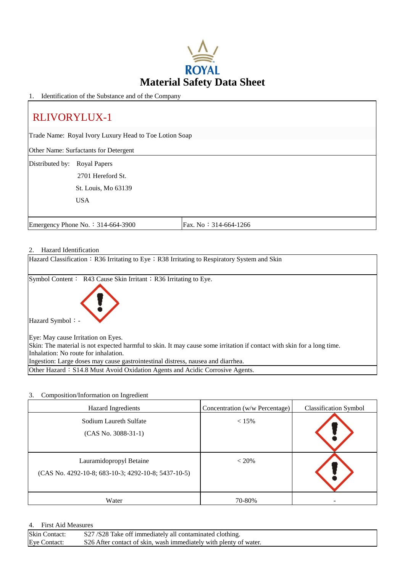

1. Identification of the Substance and of the Company

# RLIVORYLUX-1

Trade Name: Royal Ivory Luxury Head to Toe Lotion Soap

Other Name: Surfactants for Detergent

Distributed by: Royal Papers

2701 Hereford St.

St. Louis, Mo 63139

USA

Emergency Phone No.: 314-664-3900 Fax. No: 314-664-1266

# 2. Hazard Identification

| налага килиптеанон                                                                                                     |
|------------------------------------------------------------------------------------------------------------------------|
| Hazard Classification : R36 Irritating to Eye ; R38 Irritating to Respiratory System and Skin                          |
| Symbol Content: R43 Cause Skin Irritant; R36 Irritating to Eye.                                                        |
| Hazard Symbol: -                                                                                                       |
| Eye: May cause Irritation on Eyes.                                                                                     |
| Skin: The material is not expected harmful to skin. It may cause some irritation if contact with skin for a long time. |
| Inhalation: No route for inhalation.                                                                                   |
| Ingestion: Large doses may cause gastrointestinal distress, nausea and diarrhea.                                       |
| Other Hazard: S14.8 Must Avoid Oxidation Agents and Acidic Corrosive Agents.                                           |

#### 3. Composition/Information on Ingredient

| <b>Hazard Ingredients</b>                                                      | Concentration (w/w Percentage) | <b>Classification Symbol</b> |
|--------------------------------------------------------------------------------|--------------------------------|------------------------------|
| Sodium Laureth Sulfate<br>$(CAS No. 3088-31-1)$                                | $< 15\%$                       |                              |
| Lauramidopropyl Betaine<br>(CAS No. 4292-10-8; 683-10-3; 4292-10-8; 5437-10-5) | $< 20\%$                       |                              |
| Water                                                                          | 70-80%                         |                              |

#### 4. First Aid Measures

| <b>Skin</b><br>Contact: | S27/S28 Take off immediately all contaminated clothing.           |
|-------------------------|-------------------------------------------------------------------|
| Eve<br>`ontact          | S26 After contact of skin, wash immediately with plenty of water. |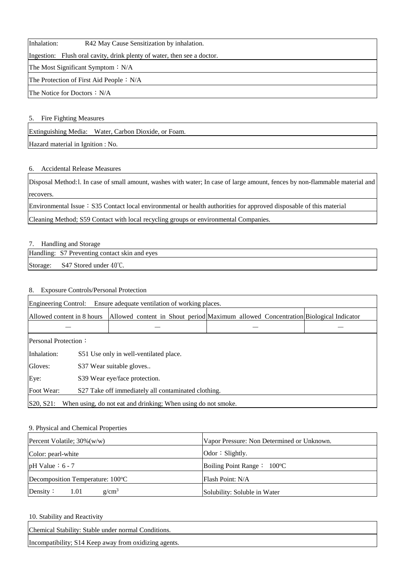Inhalation: R42 May Cause Sensitization by inhalation.

Ingestion: Flush oral cavity, drink plenty of water, then see a doctor.

The Most Significant Symptom: N/A

The Protection of First Aid People: N/A

The Notice for Doctors: N/A

# 5. Fire Fighting Measures

Extinguishing Media: Water, Carbon Dioxide, or Foam.

Hazard material in Ignition : No.

# 6. Accidental Release Measures

Disposal Method:l. In case of small amount, washes with water; In case of large amount, fences by non-flammable material and recovers.

Environmental Issue: S35 Contact local environmental or health authorities for approved disposable of this material

Cleaning Method; S59 Contact with local recycling groups or environmental Companies.

# 7. Handling and Storage

Handling: S7 Preventing contact skin and eyes

Storage: S47 Stored under 40°C.

# 8. Exposure Controls/Personal Protection

| Engineering Control:<br>Ensure adequate ventilation of working places.     |                                                     |  |  |  |  |  |  |                                                                                    |
|----------------------------------------------------------------------------|-----------------------------------------------------|--|--|--|--|--|--|------------------------------------------------------------------------------------|
| Allowed content in 8 hours                                                 |                                                     |  |  |  |  |  |  | Allowed content in Shout period Maximum allowed Concentration Biological Indicator |
|                                                                            |                                                     |  |  |  |  |  |  |                                                                                    |
| <b>Personal Protection:</b>                                                |                                                     |  |  |  |  |  |  |                                                                                    |
| Inhalation:                                                                | S51 Use only in well-ventilated place.              |  |  |  |  |  |  |                                                                                    |
| Gloves:                                                                    | S37 Wear suitable gloves                            |  |  |  |  |  |  |                                                                                    |
| Eye:                                                                       | S39 Wear eye/face protection.                       |  |  |  |  |  |  |                                                                                    |
| Foot Wear:                                                                 | S27 Take off immediately all contaminated clothing. |  |  |  |  |  |  |                                                                                    |
| S20, S21 <br>When using, do not eat and drinking; When using do not smoke. |                                                     |  |  |  |  |  |  |                                                                                    |

### 9. Physical and Chemical Properties

| Percent Volatile; $30\%$ (w/w)   | Vapor Pressure: Non Determined or Unknown. |  |  |
|----------------------------------|--------------------------------------------|--|--|
| Color: pearl-white               | $\alpha$ : Slightly.                       |  |  |
| $pH$ Value : 6 - 7               | Boiling Point Range : $100^{\circ}$ C      |  |  |
| Decomposition Temperature: 100°C | Flash Point: N/A                           |  |  |
| $g/cm^3$<br>Density:<br>1.01     | Solubility: Soluble in Water               |  |  |

10. Stability and Reactivity

Chemical Stability: Stable under normal Conditions.

Incompatibility; S14 Keep away from oxidizing agents.